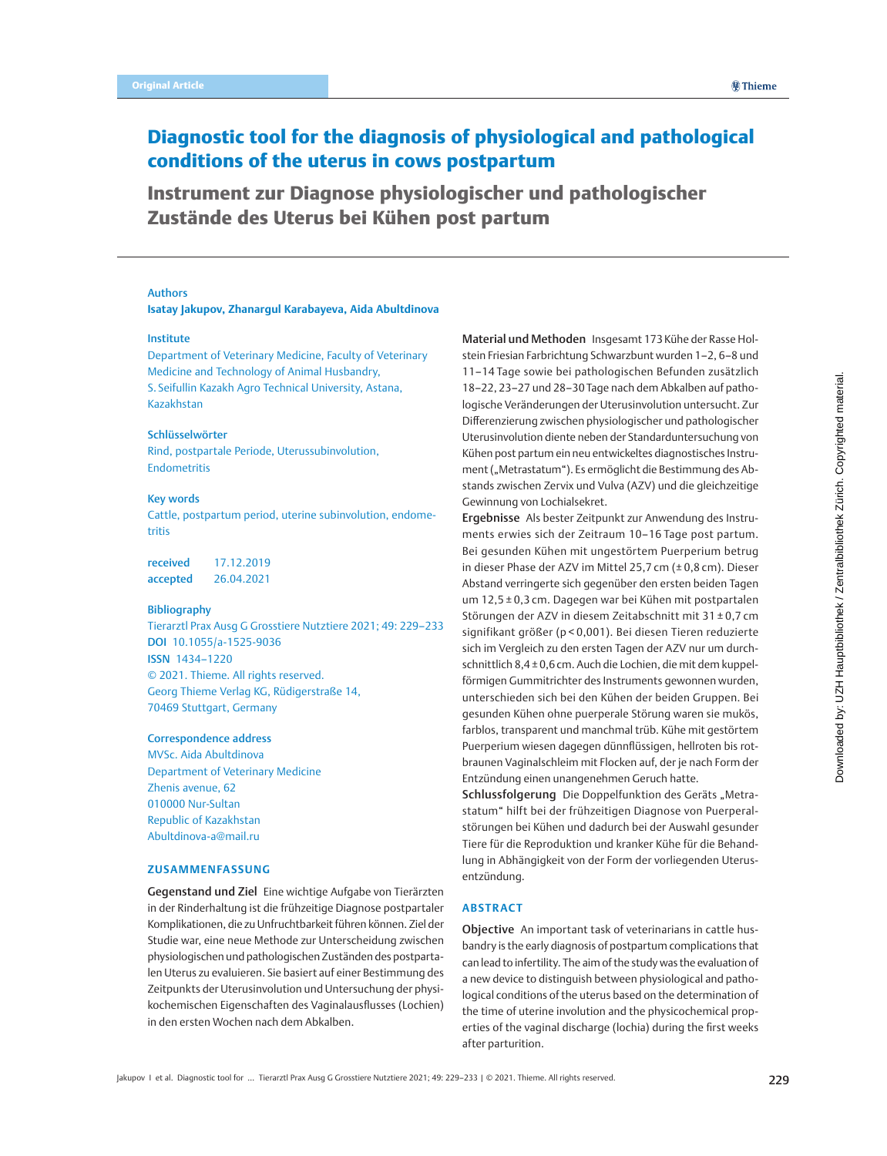# <span id="page-0-0"></span>Diagnostic tool for the diagnosis of physiological and pathological conditions of the uterus in cows postpartum

Instrument zur Diagnose physiologischer und pathologischer Zustände des Uterus bei Kühen post partum

### Authors

**Isatay Jakupov, Zhanargul Karabayeva, Aida Abultdinova**

### Institute

Department of Veterinary Medicine, Faculty of Veterinary Medicine and Technology of Animal Husbandry, S. Seifullin Kazakh Agro Technical University, Astana, Kazakhstan

### Schlüsselwörter

Rind, postpartale Periode, Uterussubinvolution, Endometritis

#### Key words

Cattle, postpartum period, uterine subinvolution, endometritis

received 17.12.2019 accepted 26.04.2021

#### Bibliography

Tierarztl Prax Ausg G Grosstiere Nutztiere 2021; 49: [229](#page-0-0)–233 DOI [10.1055/a-1525-9036](https://doi.org/10.1055/a-1525-9036) ISSN 1434–1220 © 2021. Thieme. All rights reserved. Georg Thieme Verlag KG, Rüdigerstraße 14, 70469 Stuttgart, Germany

#### Correspondence address

MVSc. Aida Abultdinova Department of Veterinary Medicine Zhenis avenue, 62 010000 Nur-Sultan Republic of Kazakhstan Abultdinova-a@mail.ru

### **ZUSAMMENFASSUNG**

Gegenstand und Ziel Eine wichtige Aufgabe von Tierärzten in der Rinderhaltung ist die frühzeitige Diagnose postpartaler Komplikationen, die zu Unfruchtbarkeit führen können. Ziel der Studie war, eine neue Methode zur Unterscheidung zwischen physiologischen und pathologischen Zuständen des postpartalen Uterus zu evaluieren. Sie basiert auf einer Bestimmung des Zeitpunkts der Uterusinvolution und Untersuchung der physikochemischen Eigenschaften des Vaginalausflusses (Lochien) in den ersten Wochen nach dem Abkalben.

Material und Methoden Insgesamt 173Kühe der Rasse Holstein Friesian Farbrichtung Schwarzbunt wurden 1–2, 6–8 und 11–14 Tage sowie bei pathologischen Befunden zusätzlich 18–22, 23–27 und 28–30 Tage nach dem Abkalben auf pathologische Veränderungen der Uterusinvolution untersucht. Zur Differenzierung zwischen physiologischer und pathologischer Uterusinvolution diente neben der Standarduntersuchung von Kühen post partum ein neu entwickeltes diagnostisches Instrument ("Metrastatum"). Es ermöglicht die Bestimmung des Abstands zwischen Zervix und Vulva (AZV) und die gleichzeitige Gewinnung von Lochialsekret.

Ergebnisse Als bester Zeitpunkt zur Anwendung des Instruments erwies sich der Zeitraum 10–16 Tage post partum. Bei gesunden Kühen mit ungestörtem Puerperium betrug in dieser Phase der AZV im Mittel 25,7 cm (± 0,8 cm). Dieser Abstand verringerte sich gegenüber den ersten beiden Tagen um 12,5 ± 0,3 cm. Dagegen war bei Kühen mit postpartalen Störungen der AZV in diesem Zeitabschnitt mit 31 ± 0,7 cm signifikant größer (p < 0,001). Bei diesen Tieren reduzierte sich im Vergleich zu den ersten Tagen der AZV nur um durchschnittlich 8,4±0,6cm. Auch die Lochien, die mit dem kuppelförmigen Gummitrichter des Instruments gewonnen wurden, unterschieden sich bei den Kühen der beiden Gruppen. Bei gesunden Kühen ohne puerperale Störung waren sie mukös, farblos, transparent und manchmal trüb. Kühe mit gestörtem Puerperium wiesen dagegen dünnflüssigen, hellroten bis rotbraunen Vaginalschleim mit Flocken auf, der je nach Form der Entzündung einen unangenehmen Geruch hatte.

Schlussfolgerung Die Doppelfunktion des Geräts "Metrastatum" hilft bei der frühzeitigen Diagnose von Puerperalstörungen bei Kühen und dadurch bei der Auswahl gesunder Tiere für die Reproduktion und kranker Kühe für die Behandlung in Abhängigkeit von der Form der vorliegenden Uterusentzündung.

# **ABSTRACT**

Objective An important task of veterinarians in cattle husbandry is the early diagnosis of postpartum complications that can lead to infertility. The aim of the study was the evaluation of a new device to distinguish between physiological and pathological conditions of the uterus based on the determination of the time of uterine involution and the physicochemical properties of the vaginal discharge (lochia) during the first weeks after parturition.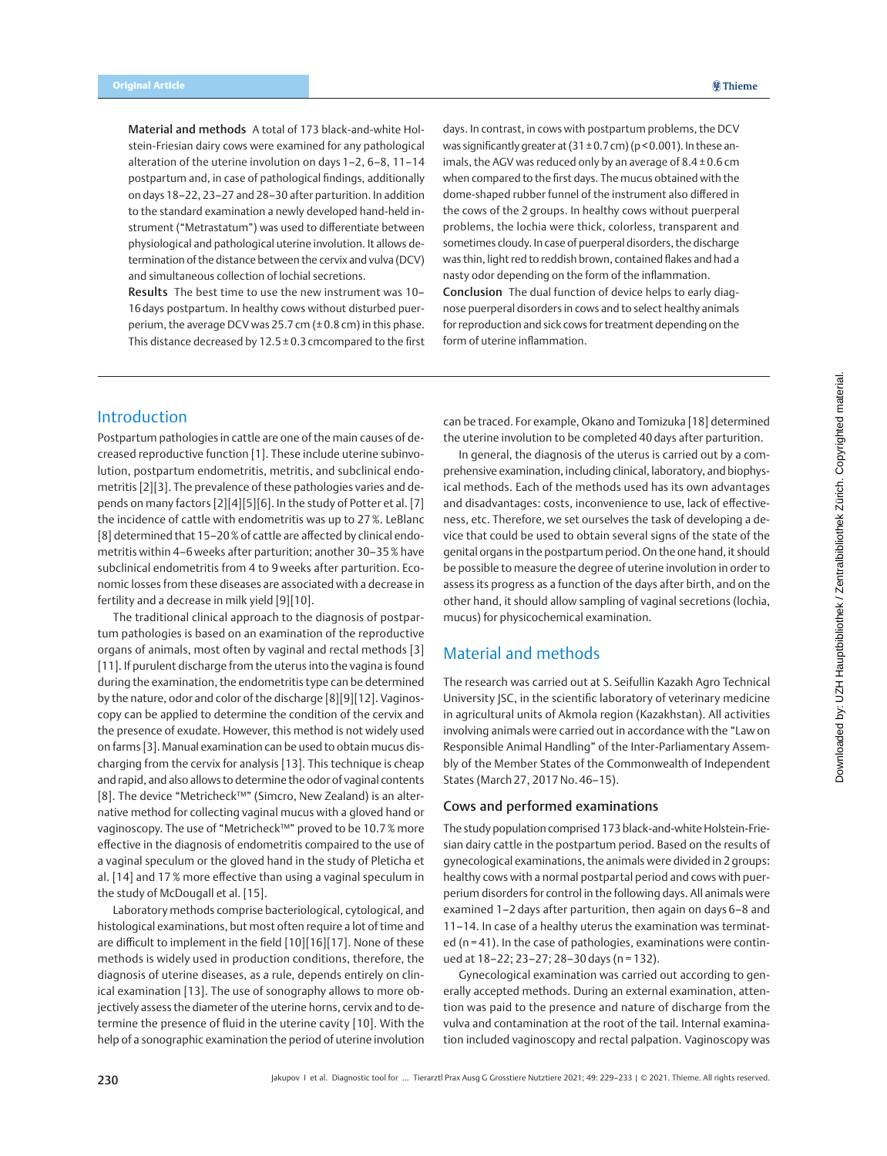Material and methods A total of 173 black-and-white Holstein-Friesian dairy cows were examined for any pathological alteration of the uterine involution on days 1–2, 6–8, 11–14 postpartum and, in case of pathological findings, additionally on days 18–22, 23–27 and 28–30 after parturition. In addition to the standard examination a newly developed hand-held instrument ("Metrastatum") was used to differentiate between physiological and pathological uterine involution. It allows determination of the distance between the cervix and vulva (DCV) and simultaneous collection of lochial secretions.

Results The best time to use the new instrument was 10– 16 days postpartum. In healthy cows without disturbed puerperium, the average DCV was 25.7 cm  $(\pm 0.8 \text{ cm})$  in this phase. This distance decreased by 12.5 ± 0.3 cmcompared to the first

days. In contrast, in cows with postpartum problems, the DCV was significantly greater at  $(31\pm0.7 \text{ cm})$  (p < 0.001). In these animals, the AGV was reduced only by an average of  $8.4 \pm 0.6$  cm when compared to the first days. The mucus obtained with the dome-shaped rubber funnel of the instrument also differed in the cows of the 2 groups. In healthy cows without puerperal problems, the lochia were thick, colorless, transparent and sometimes cloudy. In case of puerperal disorders, the discharge was thin, light red to reddish brown, contained flakes and had a nasty odor depending on the form of the inflammation.

Conclusion The dual function of device helps to early diagnose puerperal disorders in cows and to select healthy animals for reproduction and sick cows for treatment depending on the form of uterine inflammation.

# Introduction

Postpartum pathologies in cattle are one of the main causes of decreased reproductive function [1]. These include uterine subinvolution, postpartum endometritis, metritis, and subclinical endometritis [2][3]. The prevalence of these pathologies varies and depends on many factors [2][4][5][6]. In the study of Potter et al. [7] the incidence of cattle with endometritis was up to 27%. LeBlanc [8] determined that 15–20% of cattle are affected by clinical endometritis within 4–6weeks after parturition; another 30–35% have subclinical endometritis from 4 to 9 weeks after parturition. Economic losses from these diseases are associated with a decrease in fertility and a decrease in milk yield [9][10].

The traditional clinical approach to the diagnosis of postpartum pathologies is based on an examination of the reproductive organs of animals, most often by vaginal and rectal methods [3] [11]. If purulent discharge from the uterus into the vagina is found during the examination, the endometritis type can be determined by the nature, odor and color of the discharge [8][9][12]. Vaginoscopy can be applied to determine the condition of the cervix and the presence of exudate. However, this method is not widely used on farms [3]. Manual examination can be used to obtain mucus discharging from the cervix for analysis [13]. This technique is cheap and rapid, and also allows to determine the odor of vaginal contents [8]. The device "Metricheck™" (Simcro, New Zealand) is an alternative method for collecting vaginal mucus with a gloved hand or vaginoscopy. The use of "Metricheck™" proved to be 10.7% more effective in the diagnosis of endometritis compaired to the use of a vaginal speculum or the gloved hand in the study of Pleticha et al. [14] and 17% more effective than using a vaginal speculum in the study of McDougall et al. [15].

Laboratory methods comprise bacteriological, cytological, and histological examinations, but most often require a lot of time and are difficult to implement in the field [10][16][17]. None of these methods is widely used in production conditions, therefore, the diagnosis of uterine diseases, as a rule, depends entirely on clinical examination [13]. The use of sonography allows to more objectively assess the diameter of the uterine horns, cervix and to determine the presence of fluid in the uterine cavity [10]. With the help of a sonographic examination the period of uterine involution can be traced. For example, Okano and Tomizuka [18] determined the uterine involution to be completed 40 days after parturition.

In general, the diagnosis of the uterus is carried out by a comprehensive examination, including clinical, laboratory, and biophysical methods. Each of the methods used has its own advantages and disadvantages: costs, inconvenience to use, lack of effectiveness, etc. Therefore, we set ourselves the task of developing a device that could be used to obtain several signs of the state of the genital organs in the postpartum period. On the one hand, it should be possible to measure the degree of uterine involution in order to assess its progress as a function of the days after birth, and on the other hand, it should allow sampling of vaginal secretions (lochia, mucus) for physicochemical examination.

# Material and methods

The research was carried out at S. Seifullin Kazakh Agro Technical University JSC, in the scientific laboratory of veterinary medicine in agricultural units of Akmola region (Kazakhstan). All activities involving animals were carried out in accordance with the "Law on Responsible Animal Handling" of the Inter-Parliamentary Assembly of the Member States of the Commonwealth of Independent States (March 27, 2017 No. 46-15).

## Cows and performed examinations

The study population comprised 173 black-and-white Holstein-Friesian dairy cattle in the postpartum period. Based on the results of gynecological examinations, the animals were divided in 2 groups: healthy cows with a normal postpartal period and cows with puerperium disorders for control in the following days. All animals were examined 1–2 days after parturition, then again on days 6–8 and 11–14. In case of a healthy uterus the examination was terminated (n = 41). In the case of pathologies, examinations were continued at 18–22; 23–27; 28–30 days (n = 132).

Gynecological examination was carried out according to generally accepted methods. During an external examination, attention was paid to the presence and nature of discharge from the vulva and contamination at the root of the tail. Internal examination included vaginoscopy and rectal palpation. Vaginoscopy was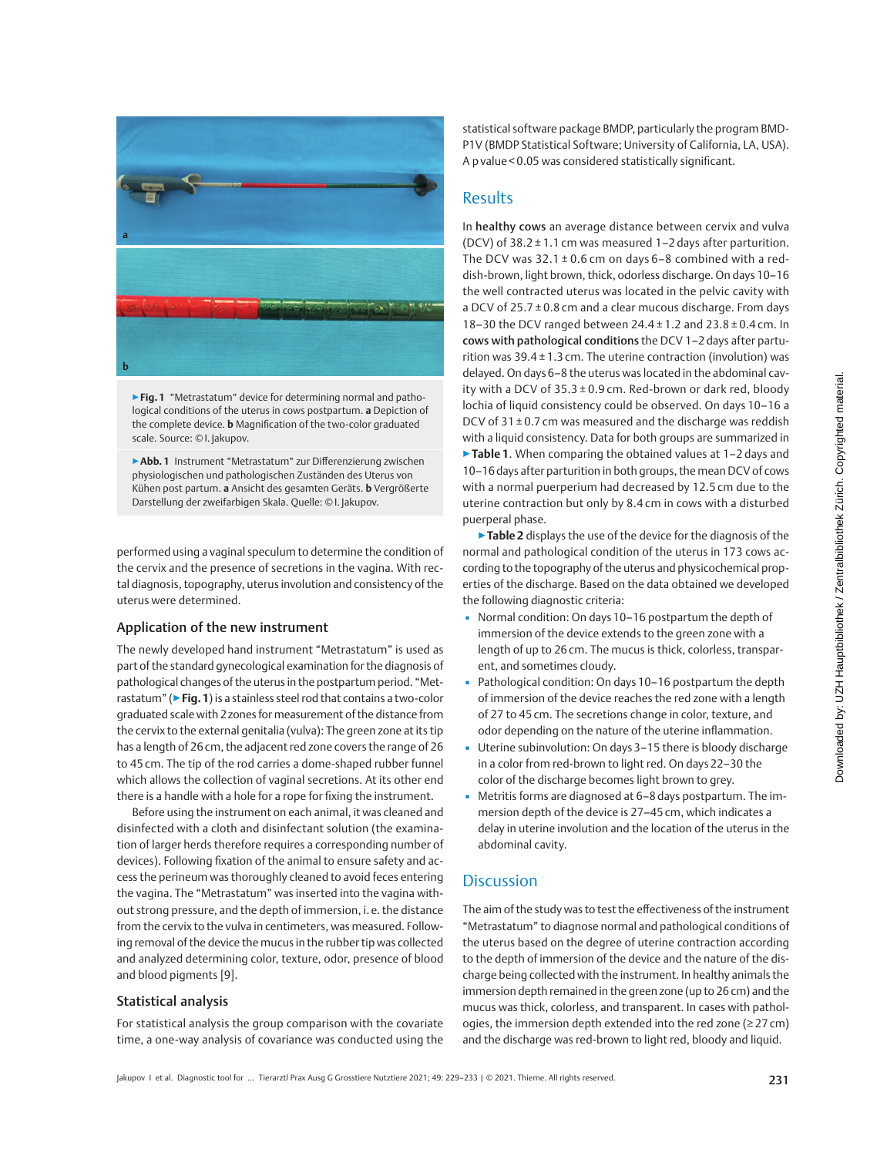

▶**Fig. 1** "Metrastatum" device for determining normal and pathological conditions of the uterus in cows postpartum. **a** Depiction of the complete device. **b** Magnification of the two-color graduated scale. Source: © I. Jakupov.

▶**Abb. 1** Instrument "Metrastatum" zur Differenzierung zwischen physiologischen und pathologischen Zuständen des Uterus von Kühen post partum. **a** Ansicht des gesamten Geräts. **b** Vergrößerte Darstellung der zweifarbigen Skala. Quelle: © I. Jakupov.

performed using a vaginal speculum to determine the condition of the cervix and the presence of secretions in the vagina. With rectal diagnosis, topography, uterus involution and consistency of the uterus were determined.

### Application of the new instrument

The newly developed hand instrument "Metrastatum" is used as part of the standard gynecological examination for the diagnosis of pathological changes of the uterus in the postpartum period. "Metrastatum" (▶**Fig.1**) is a stainless steel rod that contains a two-color graduated scale with 2zones for measurement of the distance from the cervix to the external genitalia (vulva): The green zone at its tip has a length of 26cm, the adjacent red zone covers the range of 26 to 45 cm. The tip of the rod carries a dome-shaped rubber funnel which allows the collection of vaginal secretions. At its other end there is a handle with a hole for a rope for fixing the instrument.

Before using the instrument on each animal, it was cleaned and disinfected with a cloth and disinfectant solution (the examination of larger herds therefore requires a corresponding number of devices). Following fixation of the animal to ensure safety and access the perineum was thoroughly cleaned to avoid feces entering the vagina. The "Metrastatum" was inserted into the vagina without strong pressure, and the depth of immersion, i. e. the distance from the cervix to the vulva in centimeters, was measured. Following removal of the device the mucus in the rubber tip was collected and analyzed determining color, texture, odor, presence of blood and blood pigments [9].

# Statistical analysis

For statistical analysis the group comparison with the covariate time, a one-way analysis of covariance was conducted using the statistical software package BMDP, particularly the program BMD-P1V (BMDP Statistical Software; University of California, LA, USA). A p value < 0.05 was considered statistically significant.

# Results

In healthy cows an average distance between cervix and vulva (DCV) of  $38.2 \pm 1.1$  cm was measured 1-2 days after parturition. The DCV was  $32.1 \pm 0.6$  cm on days 6-8 combined with a reddish-brown, light brown, thick, odorless discharge. On days 10–16 the well contracted uterus was located in the pelvic cavity with a DCV of  $25.7 \pm 0.8$  cm and a clear mucous discharge. From days 18–30 the DCV ranged between 24.4 ± 1.2 and 23.8 ± 0.4 cm. In cows with pathological conditions the DCV 1–2 days after parturition was  $39.4 \pm 1.3$  cm. The uterine contraction (involution) was delayed. On days 6–8 the uterus was located in the abdominal cavity with a DCV of  $35.3 \pm 0.9$  cm. Red-brown or dark red, bloody lochia of liquid consistency could be observed. On days 10–16 a DCV of  $31 \pm 0.7$  cm was measured and the discharge was reddish with a liquid consistency. Data for both groups are summarized in ▶**Table 1**. When comparing the obtained values at 1–2 days and 10–16days after parturition in both groups, the mean DCV of cows with a normal puerperium had decreased by 12.5 cm due to the uterine contraction but only by 8.4 cm in cows with a disturbed

▶**Table 2** displays the use of the device for the diagnosis of the normal and pathological condition of the uterus in 173 cows according to the topography of the uterus and physicochemical properties of the discharge. Based on the data obtained we developed the following diagnostic criteria:

- Normal condition: On days 10–16 postpartum the depth of immersion of the device extends to the green zone with a length of up to 26 cm. The mucus is thick, colorless, transparent, and sometimes cloudy.
- Pathological condition: On days 10-16 postpartum the depth of immersion of the device reaches the red zone with a length of 27 to 45 cm. The secretions change in color, texture, and odor depending on the nature of the uterine inflammation.
- Uterine subinvolution: On days 3–15 there is bloody discharge in a color from red-brown to light red. On days 22–30 the color of the discharge becomes light brown to grey.
- Metritis forms are diagnosed at 6-8 days postpartum. The immersion depth of the device is 27–45 cm, which indicates a delay in uterine involution and the location of the uterus in the abdominal cavity.

# **Discussion**

puerperal phase.

The aim of the study was to test the effectiveness of the instrument "Metrastatum" to diagnose normal and pathological conditions of the uterus based on the degree of uterine contraction according to the depth of immersion of the device and the nature of the discharge being collected with the instrument. In healthy animals the immersion depth remained in the green zone (up to 26cm) and the mucus was thick, colorless, and transparent. In cases with pathologies, the immersion depth extended into the red zone (≥27 cm) and the discharge was red-brown to light red, bloody and liquid.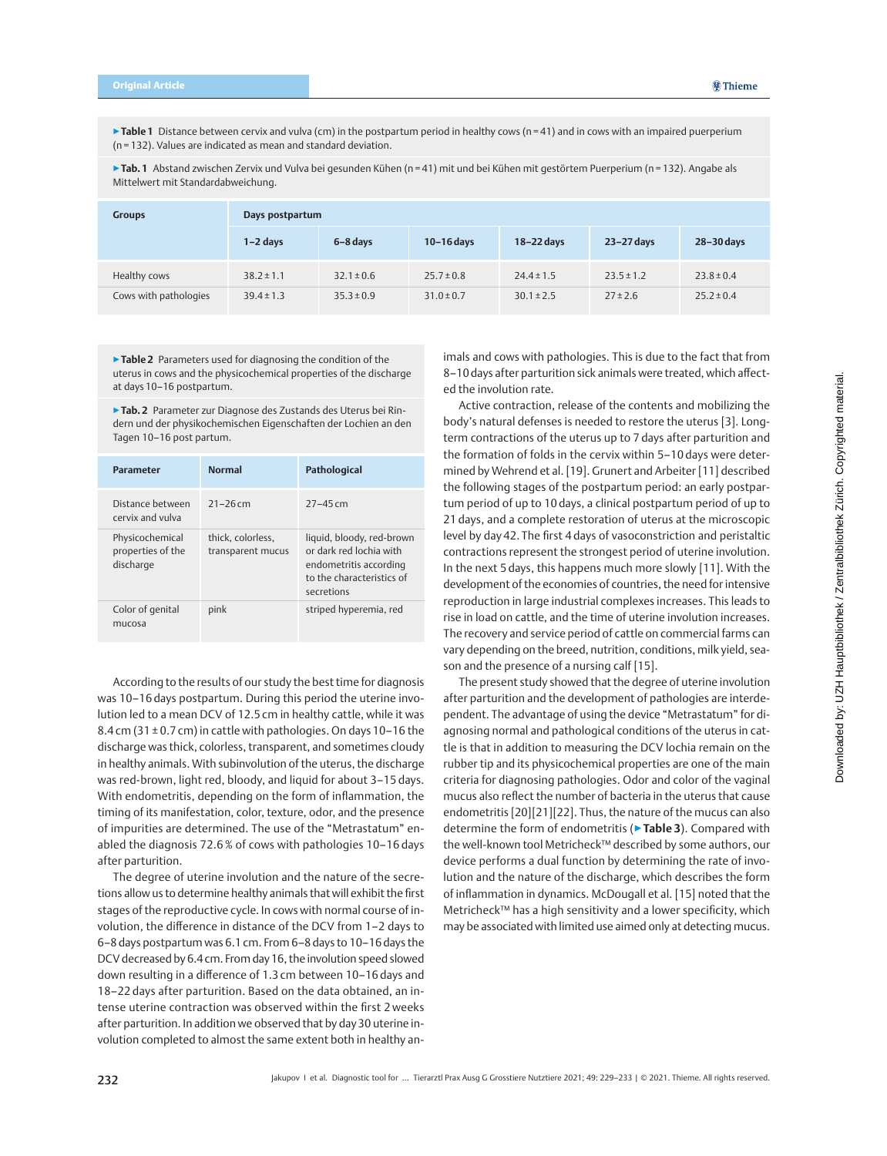▶ Table 1 Distance between cervix and vulva (cm) in the postpartum period in healthy cows (n = 41) and in cows with an impaired puerperium (n = 132). Values are indicated as mean and standard deviation.

**▶ Tab. 1** Abstand zwischen Zervix und Vulva bei gesunden Kühen (n = 41) mit und bei Kühen mit gestörtem Puerperium (n = 132). Angabe als Mittelwert mit Standardabweichung.

| <b>Groups</b>         | Days postpartum |                |                |                |                |                |  |
|-----------------------|-----------------|----------------|----------------|----------------|----------------|----------------|--|
|                       | $1-2$ days      | 6-8 days       | $10-16$ days   | 18-22 days     | 23-27 days     | 28-30 days     |  |
| Healthy cows          | $38.2 \pm 1.1$  | $32.1 \pm 0.6$ | $25.7 \pm 0.8$ | $24.4 \pm 1.5$ | $23.5 \pm 1.2$ | $23.8 \pm 0.4$ |  |
| Cows with pathologies | $39.4 \pm 1.3$  | $35.3 \pm 0.9$ | $31.0 \pm 0.7$ | $30.1 \pm 2.5$ | $27 \pm 2.6$   | $25.2 \pm 0.4$ |  |

▶**Table 2** Parameters used for diagnosing the condition of the uterus in cows and the physicochemical properties of the discharge at days 10–16 postpartum.

▶**Tab. 2** Parameter zur Diagnose des Zustands des Uterus bei Rindern und der physikochemischen Eigenschaften der Lochien an den Tagen 10–16 post partum.

| <b>Parameter</b>                                  | <b>Normal</b>                          | Pathological                                                                                                              |
|---------------------------------------------------|----------------------------------------|---------------------------------------------------------------------------------------------------------------------------|
| Distance between<br>cervix and vulva              | $21 - 26$ cm                           | $27 - 45$ cm                                                                                                              |
| Physicochemical<br>properties of the<br>discharge | thick. colorless.<br>transparent mucus | liquid, bloody, red-brown<br>or dark red lochia with<br>endometritis according<br>to the characteristics of<br>secretions |
| Color of genital<br>mucosa                        | pink                                   | striped hyperemia, red                                                                                                    |

According to the results of our study the best time for diagnosis was 10–16 days postpartum. During this period the uterine involution led to a mean DCV of 12.5 cm in healthy cattle, while it was 8.4 cm (31 ± 0.7 cm) in cattle with pathologies. On days 10–16 the discharge was thick, colorless, transparent, and sometimes cloudy in healthy animals. With subinvolution of the uterus, the discharge was red-brown, light red, bloody, and liquid for about 3–15 days. With endometritis, depending on the form of inflammation, the timing of its manifestation, color, texture, odor, and the presence of impurities are determined. The use of the "Metrastatum" enabled the diagnosis 72.6 % of cows with pathologies 10–16 days after parturition.

The degree of uterine involution and the nature of the secretions allow us to determine healthy animals that will exhibit the first stages of the reproductive cycle. In cows with normal course of involution, the difference in distance of the DCV from 1–2 days to 6–8days postpartum was 6.1cm. From 6–8days to 10–16days the DCV decreased by 6.4cm. From day16, the involution speed slowed down resulting in a difference of 1.3 cm between 10–16 days and 18–22 days after parturition. Based on the data obtained, an intense uterine contraction was observed within the first 2 weeks after parturition. In addition we observed that by day30 uterine involution completed to almost the same extent both in healthy animals and cows with pathologies. This is due to the fact that from 8–10days after parturition sick animals were treated, which affected the involution rate.

Active contraction, release of the contents and mobilizing the body's natural defenses is needed to restore the uterus [3]. Longterm contractions of the uterus up to 7 days after parturition and the formation of folds in the cervix within 5–10 days were determined by Wehrend et al. [19]. Grunert and Arbeiter [11] described the following stages of the postpartum period: an early postpartum period of up to 10 days, a clinical postpartum period of up to 21 days, and a complete restoration of uterus at the microscopic level by day 42. The first 4 days of vasoconstriction and peristaltic contractions represent the strongest period of uterine involution. In the next 5 days, this happens much more slowly [11]. With the development of the economies of countries, the need for intensive reproduction in large industrial complexes increases. This leads to rise in load on cattle, and the time of uterine involution increases. The recovery and service period of cattle on commercial farms can vary depending on the breed, nutrition, conditions, milk yield, season and the presence of a nursing calf [15].

The present study showed that the degree of uterine involution after parturition and the development of pathologies are interdependent. The advantage of using the device "Metrastatum" for diagnosing normal and pathological conditions of the uterus in cattle is that in addition to measuring the DCV lochia remain on the rubber tip and its physicochemical properties are one of the main criteria for diagnosing pathologies. Odor and color of the vaginal mucus also reflect the number of bacteria in the uterus that cause endometritis [20][21][22]. Thus, the nature of the mucus can also determine the form of endometritis (▶**Table 3**). Compared with the well-known tool Metricheck™ described by some authors, our device performs a dual function by determining the rate of involution and the nature of the discharge, which describes the form of inflammation in dynamics. McDougall et al. [15] noted that the Metricheck™ has a high sensitivity and a lower specificity, which may be associated with limited use aimed only at detecting mucus.